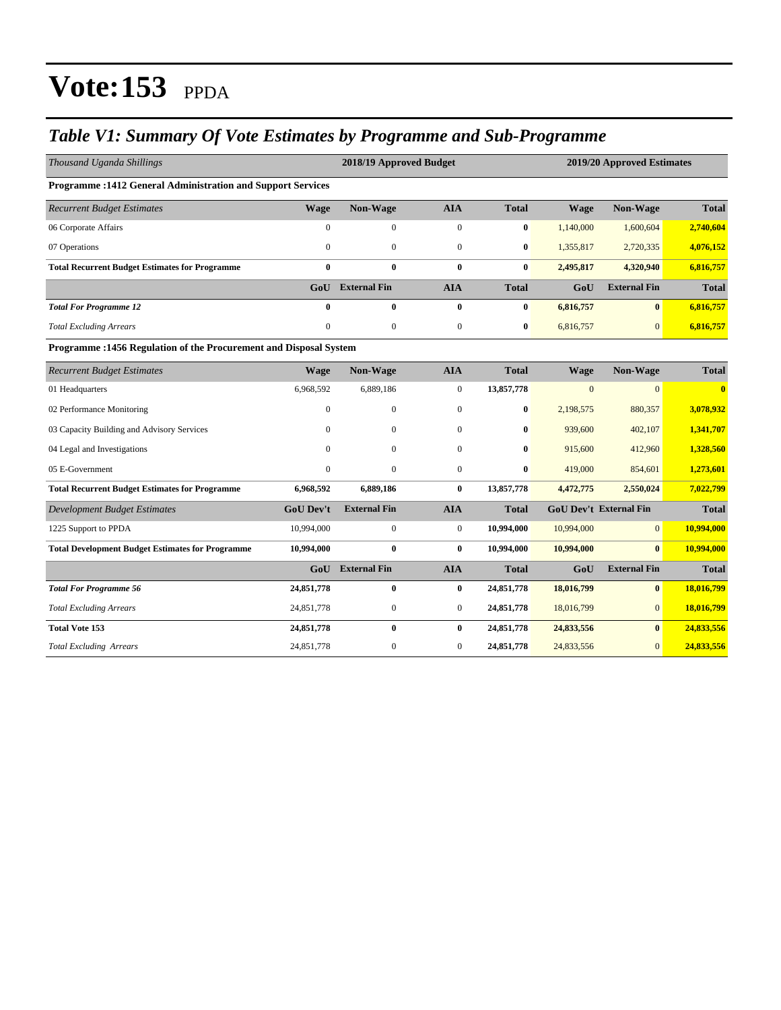#### *Table V1: Summary Of Vote Estimates by Programme and Sub-Programme*

| Thousand Uganda Shillings                                          |                  | 2018/19 Approved Budget |                  |              |              | 2019/20 Approved Estimates    |              |  |  |  |
|--------------------------------------------------------------------|------------------|-------------------------|------------------|--------------|--------------|-------------------------------|--------------|--|--|--|
| <b>Programme: 1412 General Administration and Support Services</b> |                  |                         |                  |              |              |                               |              |  |  |  |
| <b>Recurrent Budget Estimates</b>                                  | <b>Wage</b>      | Non-Wage                | <b>AIA</b>       | <b>Total</b> | <b>Wage</b>  | Non-Wage                      | <b>Total</b> |  |  |  |
| 06 Corporate Affairs                                               | $\mathbf{0}$     | $\boldsymbol{0}$        | $\boldsymbol{0}$ | $\bf{0}$     | 1,140,000    | 1,600,604                     | 2,740,604    |  |  |  |
| 07 Operations                                                      | $\mathbf{0}$     | $\boldsymbol{0}$        | $\mathbf{0}$     | $\bf{0}$     | 1,355,817    | 2,720,335                     | 4,076,152    |  |  |  |
| <b>Total Recurrent Budget Estimates for Programme</b>              | $\bf{0}$         | $\bf{0}$                | $\bf{0}$         | $\bf{0}$     | 2,495,817    | 4,320,940                     | 6,816,757    |  |  |  |
|                                                                    |                  | <b>GoU</b> External Fin | <b>AIA</b>       | <b>Total</b> | GoU          | <b>External Fin</b>           | <b>Total</b> |  |  |  |
| <b>Total For Programme 12</b>                                      | $\bf{0}$         | 0                       | $\bf{0}$         | $\bf{0}$     | 6,816,757    | $\mathbf{0}$                  | 6,816,757    |  |  |  |
| <b>Total Excluding Arrears</b>                                     | $\boldsymbol{0}$ | $\boldsymbol{0}$        | $\mathbf{0}$     | $\bf{0}$     | 6,816,757    | $\mathbf{0}$                  | 6,816,757    |  |  |  |
| Programme: 1456 Regulation of the Procurement and Disposal System  |                  |                         |                  |              |              |                               |              |  |  |  |
| <b>Recurrent Budget Estimates</b>                                  | <b>Wage</b>      | Non-Wage                | <b>AIA</b>       | <b>Total</b> | <b>Wage</b>  | Non-Wage                      | <b>Total</b> |  |  |  |
| 01 Headquarters                                                    | 6,968,592        | 6,889,186               | $\mathbf{0}$     | 13,857,778   | $\mathbf{0}$ | $\overline{0}$                | $\mathbf{0}$ |  |  |  |
| 02 Performance Monitoring                                          | $\overline{0}$   | $\boldsymbol{0}$        | $\mathbf{0}$     | $\bf{0}$     | 2,198,575    | 880,357                       | 3,078,932    |  |  |  |
| 03 Capacity Building and Advisory Services                         | $\Omega$         | $\mathbf{0}$            | $\mathbf{0}$     | $\bf{0}$     | 939,600      | 402,107                       | 1,341,707    |  |  |  |
| 04 Legal and Investigations                                        | $\Omega$         | $\mathbf{0}$            | $\mathbf{0}$     | $\bf{0}$     | 915,600      | 412,960                       | 1,328,560    |  |  |  |
| 05 E-Government                                                    | $\mathbf{0}$     | $\boldsymbol{0}$        | $\mathbf{0}$     | $\bf{0}$     | 419,000      | 854,601                       | 1,273,601    |  |  |  |
| <b>Total Recurrent Budget Estimates for Programme</b>              | 6,968,592        | 6,889,186               | $\bf{0}$         | 13,857,778   | 4,472,775    | 2,550,024                     | 7,022,799    |  |  |  |
| <b>Development Budget Estimates</b>                                | <b>GoU Dev't</b> | <b>External Fin</b>     | <b>AIA</b>       | <b>Total</b> |              | <b>GoU Dev't External Fin</b> | <b>Total</b> |  |  |  |
| 1225 Support to PPDA                                               | 10,994,000       | $\boldsymbol{0}$        | $\boldsymbol{0}$ | 10,994,000   | 10,994,000   | $\overline{0}$                | 10,994,000   |  |  |  |
| <b>Total Development Budget Estimates for Programme</b>            | 10,994,000       | $\bf{0}$                | $\bf{0}$         | 10,994,000   | 10,994,000   | $\mathbf{0}$                  | 10,994,000   |  |  |  |
|                                                                    | GoU              | <b>External Fin</b>     | <b>AIA</b>       | <b>Total</b> | GoU          | <b>External Fin</b>           | <b>Total</b> |  |  |  |
| <b>Total For Programme 56</b>                                      | 24,851,778       | $\bf{0}$                | $\bf{0}$         | 24,851,778   | 18,016,799   | $\bf{0}$                      | 18,016,799   |  |  |  |
| <b>Total Excluding Arrears</b>                                     | 24,851,778       | $\boldsymbol{0}$        | $\mathbf{0}$     | 24,851,778   | 18,016,799   | $\overline{0}$                | 18,016,799   |  |  |  |
| <b>Total Vote 153</b>                                              | 24,851,778       | $\bf{0}$                | $\bf{0}$         | 24,851,778   | 24,833,556   | $\mathbf{0}$                  | 24,833,556   |  |  |  |
| <b>Total Excluding Arrears</b>                                     | 24,851,778       | $\mathbf{0}$            | $\mathbf{0}$     | 24,851,778   | 24,833,556   | $\Omega$                      | 24,833,556   |  |  |  |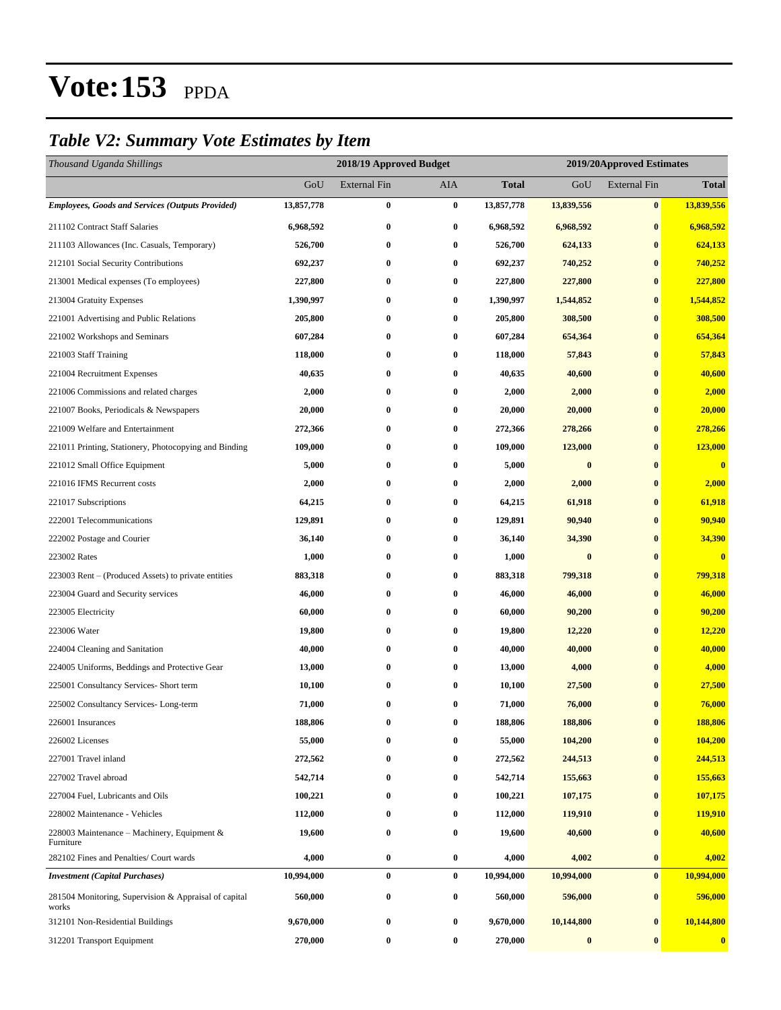#### *Table V2: Summary Vote Estimates by Item*

| Thousand Uganda Shillings                                      |            | 2018/19 Approved Budget |            |              |                  | 2019/20Approved Estimates |                  |
|----------------------------------------------------------------|------------|-------------------------|------------|--------------|------------------|---------------------------|------------------|
|                                                                | GoU        | <b>External Fin</b>     | <b>AIA</b> | <b>Total</b> | GoU              | <b>External Fin</b>       | <b>Total</b>     |
| <b>Employees, Goods and Services (Outputs Provided)</b>        | 13,857,778 | 0                       | $\bf{0}$   | 13,857,778   | 13,839,556       | $\bf{0}$                  | 13,839,556       |
| 211102 Contract Staff Salaries                                 | 6,968,592  | 0                       | $\bf{0}$   | 6,968,592    | 6,968,592        | $\bf{0}$                  | 6,968,592        |
| 211103 Allowances (Inc. Casuals, Temporary)                    | 526,700    | $\bf{0}$                | $\bf{0}$   | 526,700      | 624,133          | $\bf{0}$                  | 624,133          |
| 212101 Social Security Contributions                           | 692,237    | 0                       | $\bf{0}$   | 692,237      | 740,252          | $\bf{0}$                  | 740,252          |
| 213001 Medical expenses (To employees)                         | 227,800    | $\bf{0}$                | $\bf{0}$   | 227,800      | 227,800          | $\bf{0}$                  | 227,800          |
| 213004 Gratuity Expenses                                       | 1,390,997  | $\bf{0}$                | $\bf{0}$   | 1,390,997    | 1,544,852        | $\bf{0}$                  | 1,544,852        |
| 221001 Advertising and Public Relations                        | 205,800    | 0                       | $\bf{0}$   | 205,800      | 308,500          | $\bf{0}$                  | 308,500          |
| 221002 Workshops and Seminars                                  | 607,284    | $\boldsymbol{0}$        | $\bf{0}$   | 607,284      | 654,364          | $\bf{0}$                  | 654,364          |
| 221003 Staff Training                                          | 118,000    | 0                       | $\bf{0}$   | 118,000      | 57,843           | $\bf{0}$                  | 57,843           |
| 221004 Recruitment Expenses                                    | 40,635     | $\bf{0}$                | $\bf{0}$   | 40,635       | 40,600           | $\bf{0}$                  | 40,600           |
| 221006 Commissions and related charges                         | 2,000      | $\bf{0}$                | $\bf{0}$   | 2,000        | 2,000            | $\bf{0}$                  | 2,000            |
| 221007 Books, Periodicals & Newspapers                         | 20,000     | 0                       | $\bf{0}$   | 20,000       | 20,000           | $\bf{0}$                  | 20,000           |
| 221009 Welfare and Entertainment                               | 272,366    | 0                       | $\bf{0}$   | 272,366      | 278,266          | $\bf{0}$                  | 278,266          |
| 221011 Printing, Stationery, Photocopying and Binding          | 109,000    | 0                       | $\bf{0}$   | 109,000      | 123,000          | $\bf{0}$                  | 123,000          |
| 221012 Small Office Equipment                                  | 5,000      | $\bf{0}$                | $\bf{0}$   | 5,000        | $\bf{0}$         | $\bf{0}$                  | $\bf{0}$         |
| 221016 IFMS Recurrent costs                                    | 2,000      | $\bf{0}$                | $\bf{0}$   | 2,000        | 2,000            | $\bf{0}$                  | 2,000            |
| 221017 Subscriptions                                           | 64,215     | 0                       | $\bf{0}$   | 64,215       | 61,918           | $\bf{0}$                  | 61,918           |
| 222001 Telecommunications                                      | 129,891    | 0                       | $\bf{0}$   | 129,891      | 90,940           | $\bf{0}$                  | 90,940           |
| 222002 Postage and Courier                                     | 36,140     | 0                       | $\bf{0}$   | 36,140       | 34,390           | $\bf{0}$                  | 34,390           |
| 223002 Rates                                                   | 1,000      | $\bf{0}$                | $\bf{0}$   | 1,000        | $\bf{0}$         | $\bf{0}$                  | $\bf{0}$         |
| 223003 Rent – (Produced Assets) to private entities            | 883,318    | $\bf{0}$                | $\bf{0}$   | 883,318      | 799,318          | $\bf{0}$                  | 799,318          |
| 223004 Guard and Security services                             | 46,000     | 0                       | $\bf{0}$   | 46,000       | 46,000           | $\bf{0}$                  | 46,000           |
| 223005 Electricity                                             | 60,000     | $\boldsymbol{0}$        | $\bf{0}$   | 60,000       | 90,200           | $\bf{0}$                  | 90,200           |
| 223006 Water                                                   | 19,800     | 0                       | $\bf{0}$   | 19,800       | 12,220           | $\bf{0}$                  | 12,220           |
| 224004 Cleaning and Sanitation                                 | 40,000     | $\bf{0}$                | $\bf{0}$   | 40,000       | 40,000           | $\bf{0}$                  | 40,000           |
| 224005 Uniforms, Beddings and Protective Gear                  | 13,000     | $\bf{0}$                | $\bf{0}$   | 13,000       | 4,000            | $\bf{0}$                  | 4,000            |
| 225001 Consultancy Services- Short term                        | 10,100     | 0                       | $\bf{0}$   | 10,100       | 27,500           | $\bf{0}$                  | 27,500           |
| 225002 Consultancy Services-Long-term                          | 71,000     | 0                       | $\bf{0}$   | 71,000       | 76,000           | $\bf{0}$                  | 76,000           |
| 226001 Insurances                                              | 188,806    | 0                       | 0          | 188,806      | 188,806          | $\mathbf{0}$              | 188,806          |
| 226002 Licenses                                                | 55,000     | $\bf{0}$                | $\bf{0}$   | 55,000       | 104,200          | $\pmb{0}$                 | 104,200          |
| 227001 Travel inland                                           | 272,562    | $\bf{0}$                | $\bf{0}$   | 272,562      | 244,513          | $\bf{0}$                  | 244,513          |
| 227002 Travel abroad                                           | 542,714    | 0                       | $\bf{0}$   | 542,714      | 155,663          | $\bf{0}$                  | 155,663          |
| 227004 Fuel, Lubricants and Oils                               | 100,221    | $\boldsymbol{0}$        | $\bf{0}$   | 100,221      | 107,175          | $\bf{0}$                  | 107,175          |
| 228002 Maintenance - Vehicles                                  | 112,000    | 0                       | $\bf{0}$   | 112,000      | 119,910          | $\bf{0}$                  | 119,910          |
| 228003 Maintenance – Machinery, Equipment $\&$<br>Furniture    | 19,600     | $\boldsymbol{0}$        | $\bf{0}$   | 19,600       | 40,600           | $\bf{0}$                  | 40,600           |
| 282102 Fines and Penalties/ Court wards                        | 4,000      | $\boldsymbol{0}$        | $\bf{0}$   | 4,000        | 4,002            | $\bf{0}$                  | 4,002            |
| <b>Investment</b> (Capital Purchases)                          | 10,994,000 | $\bf{0}$                | $\bf{0}$   | 10,994,000   | 10,994,000       | $\bf{0}$                  | 10,994,000       |
| 281504 Monitoring, Supervision & Appraisal of capital<br>works | 560,000    | $\boldsymbol{0}$        | $\bf{0}$   | 560,000      | 596,000          | $\bf{0}$                  | 596,000          |
| 312101 Non-Residential Buildings                               | 9,670,000  | $\boldsymbol{0}$        | $\bf{0}$   | 9,670,000    | 10,144,800       | $\bf{0}$                  | 10,144,800       |
| 312201 Transport Equipment                                     | 270,000    | $\boldsymbol{0}$        | $\bf{0}$   | 270,000      | $\boldsymbol{0}$ | $\bf{0}$                  | $\boldsymbol{0}$ |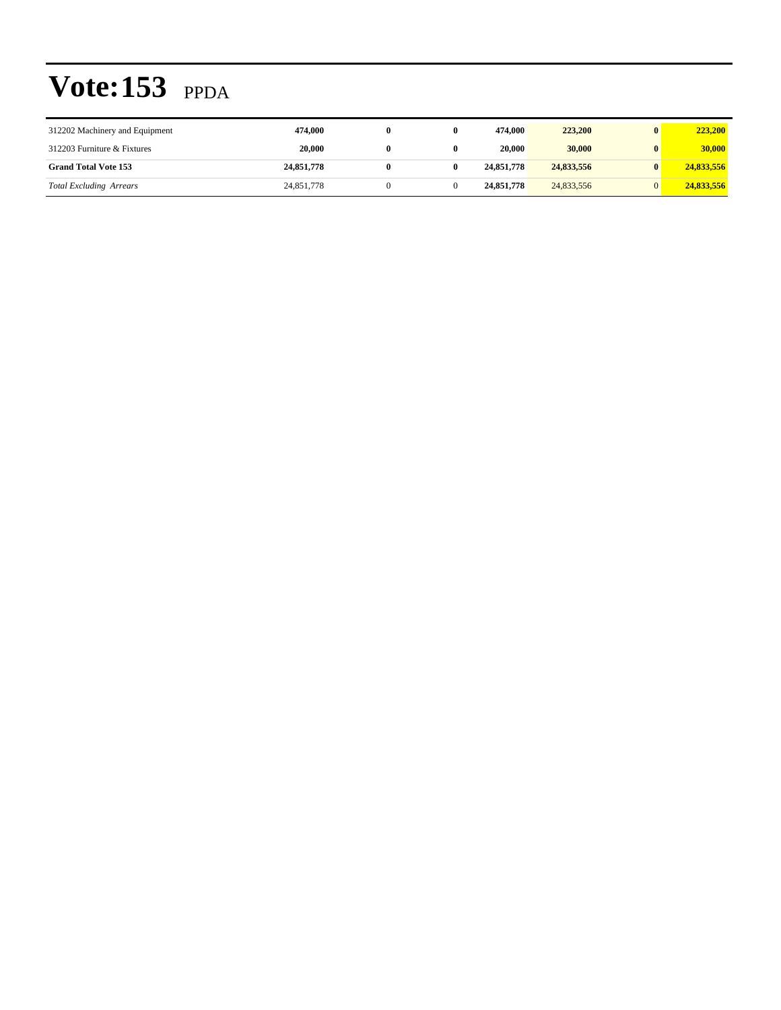| 312202 Machinery and Equipment | 474.000    | $_{0}$ | 474,000    | 223,200    |   | 223,200    |
|--------------------------------|------------|--------|------------|------------|---|------------|
| 312203 Furniture & Fixtures    | 20.000     | 0      | 20,000     | 30,000     | 0 | 30,000     |
| <b>Grand Total Vote 153</b>    | 24,851,778 |        | 24,851,778 | 24,833,556 |   | 24,833,556 |
| <b>Total Excluding Arrears</b> | 24,851,778 |        | 24,851,778 | 24,833,556 |   | 24,833,556 |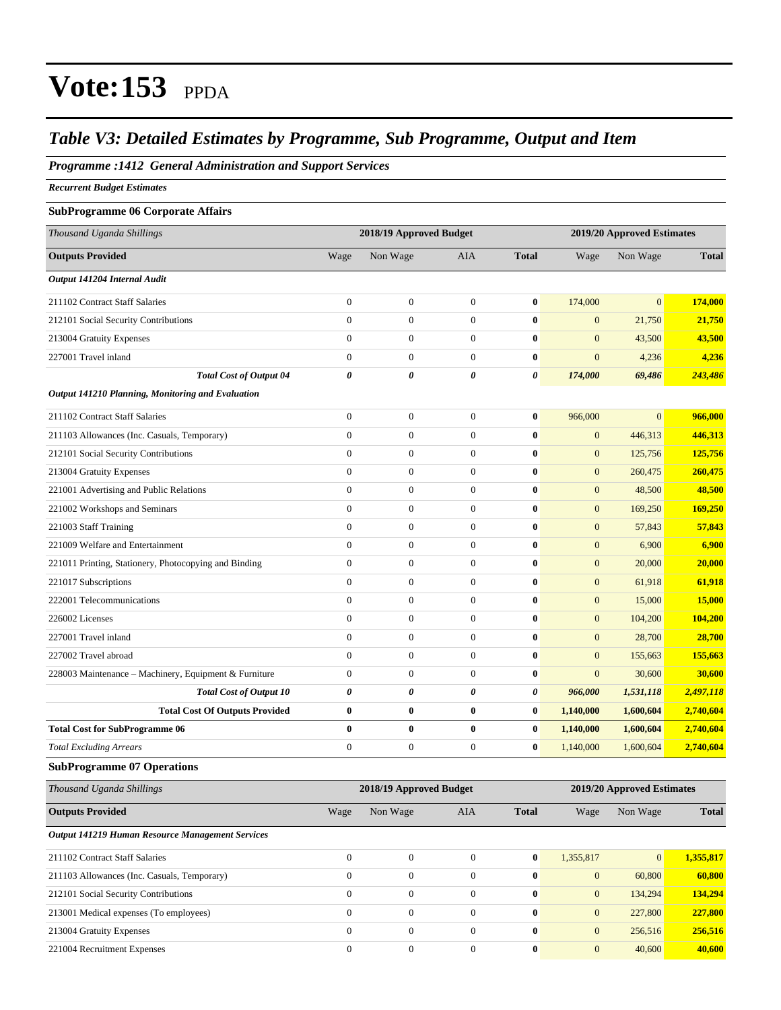#### *Table V3: Detailed Estimates by Programme, Sub Programme, Output and Item*

#### *Programme :1412 General Administration and Support Services*

*Recurrent Budget Estimates*

#### **SubProgramme 06 Corporate Affairs**

| Thousand Uganda Shillings                             |                       | 2018/19 Approved Budget |                  |              |                | 2019/20 Approved Estimates |              |  |
|-------------------------------------------------------|-----------------------|-------------------------|------------------|--------------|----------------|----------------------------|--------------|--|
| <b>Outputs Provided</b>                               | Wage                  | Non Wage                | AIA              | <b>Total</b> | Wage           | Non Wage                   | <b>Total</b> |  |
| Output 141204 Internal Audit                          |                       |                         |                  |              |                |                            |              |  |
| 211102 Contract Staff Salaries                        | $\mathbf{0}$          | $\overline{0}$          | $\overline{0}$   | $\bf{0}$     | 174,000        | $\overline{0}$             | 174,000      |  |
| 212101 Social Security Contributions                  | $\mathbf{0}$          | $\boldsymbol{0}$        | $\boldsymbol{0}$ | $\bf{0}$     | $\mathbf{0}$   | 21,750                     | 21,750       |  |
| 213004 Gratuity Expenses                              | $\mathbf{0}$          | $\overline{0}$          | $\overline{0}$   | $\mathbf{0}$ | $\mathbf{0}$   | 43.500                     | 43,500       |  |
| 227001 Travel inland                                  | $\theta$              | $\overline{0}$          | $\overline{0}$   | $\bf{0}$     | $\overline{0}$ | 4,236                      | 4,236        |  |
| <b>Total Cost of Output 04</b>                        | $\boldsymbol{\theta}$ | 0                       | 0                | 0            | 174,000        | 69,486                     | 243,486      |  |
| Output 141210 Planning, Monitoring and Evaluation     |                       |                         |                  |              |                |                            |              |  |
| 211102 Contract Staff Salaries                        | $\mathbf{0}$          | $\overline{0}$          | $\overline{0}$   | $\bf{0}$     | 966,000        | $\overline{0}$             | 966,000      |  |
| 211103 Allowances (Inc. Casuals, Temporary)           | $\mathbf{0}$          | $\boldsymbol{0}$        | $\overline{0}$   | $\bf{0}$     | $\mathbf{0}$   | 446,313                    | 446,313      |  |
| 212101 Social Security Contributions                  | $\mathbf{0}$          | $\overline{0}$          | $\overline{0}$   | $\bf{0}$     | $\mathbf{0}$   | 125,756                    | 125,756      |  |
| 213004 Gratuity Expenses                              | $\theta$              | $\overline{0}$          | $\overline{0}$   | $\bf{0}$     | $\mathbf{0}$   | 260,475                    | 260,475      |  |
| 221001 Advertising and Public Relations               | $\mathbf{0}$          | $\overline{0}$          | $\overline{0}$   | $\bf{0}$     | $\mathbf{0}$   | 48,500                     | 48,500       |  |
| 221002 Workshops and Seminars                         | $\mathbf{0}$          | $\boldsymbol{0}$        | $\boldsymbol{0}$ | $\bf{0}$     | $\mathbf{0}$   | 169,250                    | 169,250      |  |
| 221003 Staff Training                                 | $\theta$              | $\overline{0}$          | $\Omega$         | $\mathbf{0}$ | $\mathbf{0}$   | 57,843                     | 57,843       |  |
| 221009 Welfare and Entertainment                      | $\theta$              | $\overline{0}$          | $\Omega$         | $\mathbf{0}$ | $\mathbf{0}$   | 6,900                      | 6,900        |  |
| 221011 Printing, Stationery, Photocopying and Binding | $\mathbf{0}$          | $\overline{0}$          | $\overline{0}$   | $\mathbf{0}$ | $\mathbf{0}$   | 20,000                     | 20,000       |  |
| 221017 Subscriptions                                  | $\mathbf{0}$          | $\boldsymbol{0}$        | $\overline{0}$   | $\bf{0}$     | $\mathbf{0}$   | 61,918                     | 61,918       |  |
| 222001 Telecommunications                             | $\mathbf{0}$          | $\overline{0}$          | $\overline{0}$   | $\bf{0}$     | $\mathbf{0}$   | 15,000                     | 15,000       |  |
| 226002 Licenses                                       | $\Omega$              | $\overline{0}$          | $\overline{0}$   | $\mathbf{0}$ | $\overline{0}$ | 104,200                    | 104,200      |  |
| 227001 Travel inland                                  | $\theta$              | $\overline{0}$          | $\overline{0}$   | $\bf{0}$     | $\mathbf{0}$   | 28,700                     | 28,700       |  |
| 227002 Travel abroad                                  | $\mathbf{0}$          | $\overline{0}$          | $\overline{0}$   | $\bf{0}$     | $\mathbf{0}$   | 155,663                    | 155,663      |  |
| 228003 Maintenance - Machinery, Equipment & Furniture | $\mathbf{0}$          | $\boldsymbol{0}$        | $\overline{0}$   | $\bf{0}$     | $\mathbf{0}$   | 30,600                     | 30,600       |  |
| <b>Total Cost of Output 10</b>                        | $\boldsymbol{\theta}$ | 0                       | 0                | 0            | 966,000        | 1,531,118                  | 2,497,118    |  |
| <b>Total Cost Of Outputs Provided</b>                 | $\bf{0}$              | $\bf{0}$                | $\bf{0}$         | $\bf{0}$     | 1,140,000      | 1,600,604                  | 2,740,604    |  |
| <b>Total Cost for SubProgramme 06</b>                 | $\bf{0}$              | $\bf{0}$                | $\bf{0}$         | $\bf{0}$     | 1,140,000      | 1,600,604                  | 2,740,604    |  |
| <b>Total Excluding Arrears</b>                        | $\theta$              | $\boldsymbol{0}$        | $\overline{0}$   | $\bf{0}$     | 1,140,000      | 1,600,604                  | 2,740,604    |  |

#### **SubProgramme 07 Operations**

| Thousand Uganda Shillings                        |              | 2018/19 Approved Budget |              |              |              | 2019/20 Approved Estimates |              |  |  |
|--------------------------------------------------|--------------|-------------------------|--------------|--------------|--------------|----------------------------|--------------|--|--|
| <b>Outputs Provided</b>                          | Wage         | Non Wage                | <b>AIA</b>   | <b>Total</b> | Wage         | Non Wage                   | <b>Total</b> |  |  |
| Output 141219 Human Resource Management Services |              |                         |              |              |              |                            |              |  |  |
| 211102 Contract Staff Salaries                   | $\Omega$     | $\Omega$                | $\Omega$     | $\bf{0}$     | 1,355,817    | $\overline{0}$             | 1,355,817    |  |  |
| 211103 Allowances (Inc. Casuals, Temporary)      | $\mathbf{0}$ | $\theta$                | $\Omega$     | $\bf{0}$     | $\mathbf{0}$ | 60,800                     | 60.800       |  |  |
| 212101 Social Security Contributions             | $\Omega$     | $\theta$                | $\Omega$     | $\mathbf{0}$ | $\mathbf{0}$ | 134,294                    | 134.294      |  |  |
| 213001 Medical expenses (To employees)           | $\mathbf{0}$ | $\boldsymbol{0}$        | $\theta$     | $\bf{0}$     | $\mathbf{0}$ | 227,800                    | 227,800      |  |  |
| 213004 Gratuity Expenses                         | $\mathbf{0}$ | $\overline{0}$          | $\Omega$     | $\bf{0}$     | $\mathbf{0}$ | 256,516                    | 256,516      |  |  |
| 221004 Recruitment Expenses                      | $\mathbf{0}$ | $\boldsymbol{0}$        | $\mathbf{0}$ | $\mathbf{0}$ | $\mathbf{0}$ | 40,600                     | 40,600       |  |  |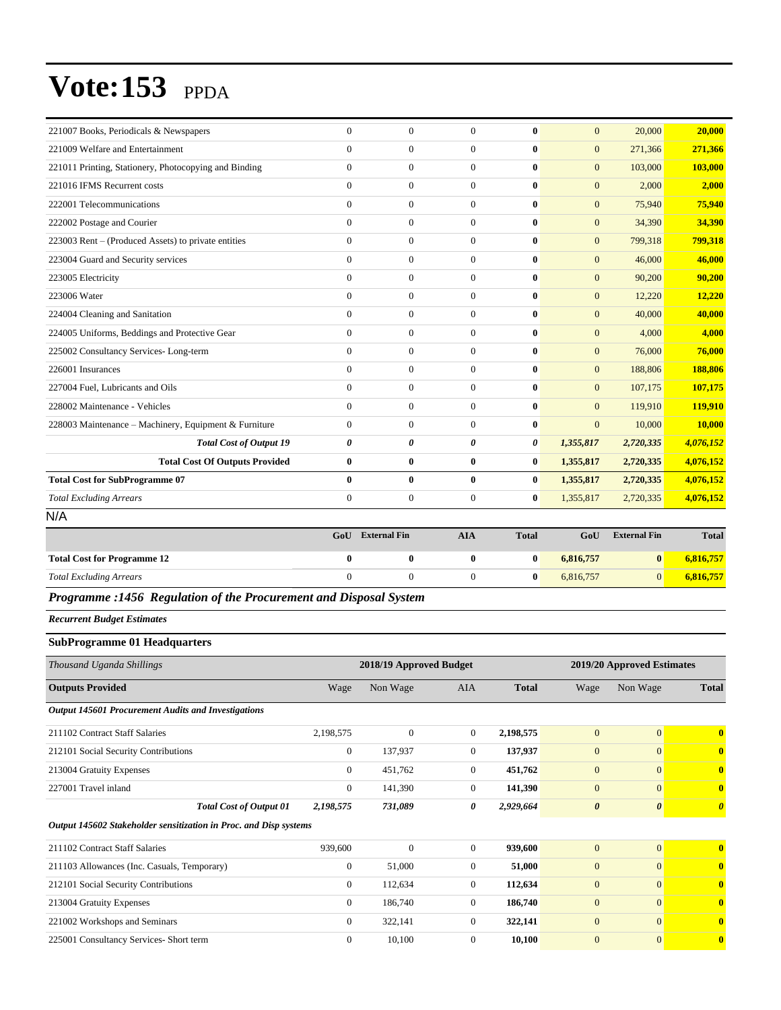| 221007 Books, Periodicals & Newspapers                | $\Omega$       | $\mathbf{0}$     | $\Omega$         | $\mathbf{0}$ | $\mathbf{0}$   | 20,000    | 20,000    |
|-------------------------------------------------------|----------------|------------------|------------------|--------------|----------------|-----------|-----------|
| 221009 Welfare and Entertainment                      | $\Omega$       | $\overline{0}$   | $\Omega$         | $\mathbf{0}$ | $\Omega$       | 271,366   | 271,366   |
| 221011 Printing, Stationery, Photocopying and Binding | $\Omega$       | $\boldsymbol{0}$ | $\Omega$         | $\mathbf{0}$ | $\mathbf{0}$   | 103,000   | 103,000   |
| 221016 IFMS Recurrent costs                           | $\Omega$       | $\mathbf{0}$     | $\Omega$         | $\mathbf{0}$ | $\overline{0}$ | 2,000     | 2,000     |
| 222001 Telecommunications                             | $\Omega$       | $\mathbf{0}$     | $\mathbf{0}$     | $\mathbf{0}$ | $\mathbf{0}$   | 75,940    | 75,940    |
| 222002 Postage and Courier                            | $\Omega$       | $\overline{0}$   | $\Omega$         | $\mathbf{0}$ | $\mathbf{0}$   | 34,390    | 34,390    |
| 223003 Rent - (Produced Assets) to private entities   | $\overline{0}$ | $\overline{0}$   | $\mathbf{0}$     | $\bf{0}$     | $\overline{0}$ | 799,318   | 799,318   |
| 223004 Guard and Security services                    | $\Omega$       | $\overline{0}$   | $\overline{0}$   | $\mathbf{0}$ | $\mathbf{0}$   | 46,000    | 46,000    |
| 223005 Electricity                                    | $\Omega$       | $\Omega$         | $\Omega$         | $\mathbf{0}$ | $\Omega$       | 90,200    | 90,200    |
| 223006 Water                                          | $\Omega$       | $\overline{0}$   | $\Omega$         | $\mathbf{0}$ | $\mathbf{0}$   | 12,220    | 12,220    |
| 224004 Cleaning and Sanitation                        | $\overline{0}$ | $\overline{0}$   | $\mathbf{0}$     | $\bf{0}$     | $\mathbf{0}$   | 40,000    | 40,000    |
| 224005 Uniforms, Beddings and Protective Gear         | $\Omega$       | $\overline{0}$   | $\Omega$         | $\mathbf{0}$ | $\mathbf{0}$   | 4,000     | 4,000     |
| 225002 Consultancy Services-Long-term                 | $\Omega$       | $\overline{0}$   | $\Omega$         | $\mathbf{0}$ | $\Omega$       | 76,000    | 76,000    |
| 226001 Insurances                                     | $\overline{0}$ | $\mathbf{0}$     | $\mathbf{0}$     | $\bf{0}$     | $\mathbf{0}$   | 188,806   | 188,806   |
| 227004 Fuel, Lubricants and Oils                      | $\Omega$       | $\overline{0}$   | $\Omega$         | $\mathbf{0}$ | $\Omega$       | 107,175   | 107,175   |
| 228002 Maintenance - Vehicles                         | $\Omega$       | $\overline{0}$   | $\Omega$         | $\mathbf{0}$ | $\Omega$       | 119,910   | 119,910   |
| 228003 Maintenance - Machinery, Equipment & Furniture | $\Omega$       | $\mathbf{0}$     | $\Omega$         | $\mathbf{0}$ | $\mathbf{0}$   | 10,000    | 10,000    |
| <b>Total Cost of Output 19</b>                        | 0              | 0                | 0                | 0            | 1,355,817      | 2,720,335 | 4,076,152 |
| <b>Total Cost Of Outputs Provided</b>                 | $\bf{0}$       | $\bf{0}$         | $\bf{0}$         | $\bf{0}$     | 1,355,817      | 2,720,335 | 4,076,152 |
| <b>Total Cost for SubProgramme 07</b>                 | $\mathbf{0}$   | $\mathbf{0}$     | $\bf{0}$         | $\mathbf{0}$ | 1,355,817      | 2,720,335 | 4,076,152 |
| <b>Total Excluding Arrears</b>                        | $\mathbf{0}$   | $\boldsymbol{0}$ | $\boldsymbol{0}$ | $\bf{0}$     | 1,355,817      | 2,720,335 | 4,076,152 |
| N/A                                                   |                |                  |                  |              |                |           |           |

|                                    | GoU | <b>External Fin</b> | AIA | <b>Total</b> | GoU       | <b>External Fin</b> | <b>Total</b> |
|------------------------------------|-----|---------------------|-----|--------------|-----------|---------------------|--------------|
| <b>Total Cost for Programme 12</b> | ___ |                     |     |              | 6,816,757 | 0                   | 6,816,757    |
| <b>Total Excluding Arrears</b>     |     |                     |     |              | 6.816.757 |                     | 6,816,757    |
|                                    |     |                     |     |              |           |                     |              |

*Programme :1456 Regulation of the Procurement and Disposal System*

*Recurrent Budget Estimates*

#### **SubProgramme 01 Headquarters**

| Thousand Uganda Shillings                                         |                | 2018/19 Approved Budget |                |              |                       | 2019/20 Approved Estimates |                         |  |
|-------------------------------------------------------------------|----------------|-------------------------|----------------|--------------|-----------------------|----------------------------|-------------------------|--|
| <b>Outputs Provided</b>                                           | Wage           | Non Wage                | <b>AIA</b>     | <b>Total</b> | Wage                  | Non Wage                   | <b>Total</b>            |  |
| Output 145601 Procurement Audits and Investigations               |                |                         |                |              |                       |                            |                         |  |
| 211102 Contract Staff Salaries                                    | 2,198,575      | $\mathbf{0}$            | $\overline{0}$ | 2,198,575    | $\mathbf{0}$          | $\overline{0}$             | $\mathbf{0}$            |  |
| 212101 Social Security Contributions                              | $\mathbf{0}$   | 137,937                 | $\overline{0}$ | 137,937      | $\mathbf{0}$          | $\mathbf{0}$               | $\overline{\mathbf{0}}$ |  |
| 213004 Gratuity Expenses                                          | $\overline{0}$ | 451,762                 | $\overline{0}$ | 451,762      | $\mathbf{0}$          | $\overline{0}$             | $\mathbf{0}$            |  |
| 227001 Travel inland                                              | $\mathbf{0}$   | 141,390                 | $\overline{0}$ | 141,390      | $\mathbf{0}$          | $\overline{0}$             | $\mathbf{0}$            |  |
| <b>Total Cost of Output 01</b>                                    | 2,198,575      | 731,089                 | 0              | 2,929,664    | $\boldsymbol{\theta}$ | $\boldsymbol{\theta}$      | $\theta$                |  |
| Output 145602 Stakeholder sensitization in Proc. and Disp systems |                |                         |                |              |                       |                            |                         |  |
| 211102 Contract Staff Salaries                                    | 939,600        | $\mathbf{0}$            | $\overline{0}$ | 939,600      | $\mathbf{0}$          | $\overline{0}$             | $\mathbf{0}$            |  |
| 211103 Allowances (Inc. Casuals, Temporary)                       | $\mathbf{0}$   | 51,000                  | $\overline{0}$ | 51,000       | $\mathbf{0}$          | $\overline{0}$             | $\mathbf{0}$            |  |
| 212101 Social Security Contributions                              | $\overline{0}$ | 112,634                 | $\overline{0}$ | 112,634      | $\mathbf{0}$          | $\overline{0}$             | $\mathbf{0}$            |  |
| 213004 Gratuity Expenses                                          | 0              | 186,740                 | $\overline{0}$ | 186,740      | $\mathbf{0}$          | $\overline{0}$             | $\mathbf{0}$            |  |
| 221002 Workshops and Seminars                                     | $\mathbf{0}$   | 322,141                 | $\overline{0}$ | 322,141      | $\mathbf{0}$          | $\overline{0}$             | $\mathbf{0}$            |  |
| 225001 Consultancy Services- Short term                           | $\mathbf{0}$   | 10,100                  | $\mathbf{0}$   | 10,100       | $\mathbf{0}$          | $\overline{0}$             | $\overline{\mathbf{0}}$ |  |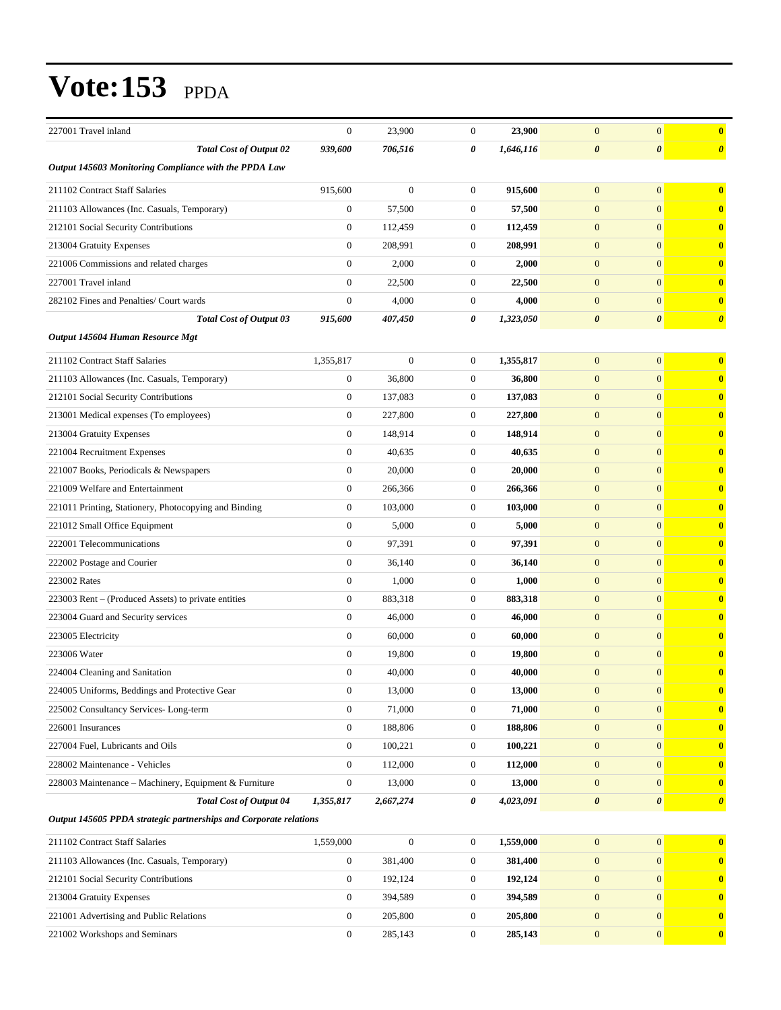| 227001 Travel inland                                              | $\mathbf{0}$     | 23,900           | $\boldsymbol{0}$ | 23,900    | $\mathbf{0}$          | $\mathbf{0}$          | $\bf{0}$              |
|-------------------------------------------------------------------|------------------|------------------|------------------|-----------|-----------------------|-----------------------|-----------------------|
| <b>Total Cost of Output 02</b>                                    | 939,600          | 706,516          | 0                | 1,646,116 | $\boldsymbol{\theta}$ | $\boldsymbol{\theta}$ | $\boldsymbol{\theta}$ |
| Output 145603 Monitoring Compliance with the PPDA Law             |                  |                  |                  |           |                       |                       |                       |
| 211102 Contract Staff Salaries                                    | 915,600          | $\mathbf{0}$     | $\boldsymbol{0}$ | 915,600   | $\mathbf{0}$          | $\mathbf{0}$          | $\bf{0}$              |
| 211103 Allowances (Inc. Casuals, Temporary)                       | $\boldsymbol{0}$ | 57,500           | $\mathbf{0}$     | 57,500    | $\mathbf{0}$          | $\mathbf{0}$          | $\mathbf{0}$          |
| 212101 Social Security Contributions                              | $\boldsymbol{0}$ | 112,459          | $\boldsymbol{0}$ | 112,459   | $\mathbf{0}$          | $\mathbf{0}$          | $\bf{0}$              |
| 213004 Gratuity Expenses                                          | $\mathbf{0}$     | 208,991          | $\mathbf{0}$     | 208,991   | $\mathbf{0}$          | $\mathbf{0}$          | $\bf{0}$              |
| 221006 Commissions and related charges                            | $\mathbf{0}$     | 2,000            | $\mathbf{0}$     | 2,000     | $\mathbf{0}$          | $\mathbf{0}$          | $\bf{0}$              |
| 227001 Travel inland                                              | $\mathbf{0}$     | 22,500           | $\boldsymbol{0}$ | 22,500    | $\mathbf{0}$          | $\mathbf{0}$          | $\bf{0}$              |
| 282102 Fines and Penalties/ Court wards                           | $\mathbf{0}$     | 4,000            | $\mathbf{0}$     | 4,000     | $\mathbf{0}$          | $\mathbf{0}$          | $\bf{0}$              |
| <b>Total Cost of Output 03</b>                                    | 915,600          | 407,450          | 0                | 1,323,050 | $\boldsymbol{\theta}$ | $\boldsymbol{\theta}$ | $\boldsymbol{\theta}$ |
| Output 145604 Human Resource Mgt                                  |                  |                  |                  |           |                       |                       |                       |
| 211102 Contract Staff Salaries                                    | 1,355,817        | $\mathbf{0}$     | $\mathbf{0}$     | 1,355,817 | $\mathbf{0}$          | $\mathbf{0}$          | $\bf{0}$              |
| 211103 Allowances (Inc. Casuals, Temporary)                       | $\boldsymbol{0}$ | 36,800           | $\mathbf{0}$     | 36,800    | $\overline{0}$        | $\mathbf{0}$          | $\bf{0}$              |
| 212101 Social Security Contributions                              | $\mathbf{0}$     | 137,083          | $\mathbf{0}$     | 137,083   | $\mathbf{0}$          | $\mathbf{0}$          | $\bf{0}$              |
| 213001 Medical expenses (To employees)                            | $\boldsymbol{0}$ | 227,800          | $\mathbf{0}$     | 227,800   | $\mathbf{0}$          | $\mathbf{0}$          | $\bf{0}$              |
| 213004 Gratuity Expenses                                          | $\boldsymbol{0}$ | 148,914          | $\boldsymbol{0}$ | 148,914   | $\mathbf{0}$          | $\mathbf{0}$          | $\bf{0}$              |
| 221004 Recruitment Expenses                                       | $\mathbf{0}$     | 40,635           | $\mathbf{0}$     | 40,635    | $\mathbf{0}$          | $\mathbf{0}$          | $\bf{0}$              |
| 221007 Books, Periodicals & Newspapers                            | $\boldsymbol{0}$ | 20,000           | $\mathbf{0}$     | 20,000    | $\mathbf{0}$          | $\mathbf{0}$          | $\bf{0}$              |
| 221009 Welfare and Entertainment                                  | $\boldsymbol{0}$ | 266,366          | $\mathbf{0}$     | 266,366   | $\mathbf{0}$          | $\mathbf{0}$          | $\bf{0}$              |
| 221011 Printing, Stationery, Photocopying and Binding             | $\boldsymbol{0}$ | 103,000          | $\mathbf{0}$     | 103,000   | $\mathbf{0}$          | $\mathbf{0}$          | $\bf{0}$              |
| 221012 Small Office Equipment                                     | $\boldsymbol{0}$ | 5,000            | $\boldsymbol{0}$ | 5,000     | $\mathbf{0}$          | $\mathbf{0}$          | $\bf{0}$              |
| 222001 Telecommunications                                         | $\mathbf{0}$     | 97,391           | $\mathbf{0}$     | 97,391    | $\mathbf{0}$          | $\mathbf{0}$          | $\bf{0}$              |
| 222002 Postage and Courier                                        | $\boldsymbol{0}$ | 36,140           | $\mathbf{0}$     | 36,140    | $\mathbf{0}$          | $\mathbf{0}$          | $\bf{0}$              |
| 223002 Rates                                                      | $\mathbf{0}$     | 1,000            | $\mathbf{0}$     | 1,000     | $\mathbf{0}$          | $\mathbf{0}$          | $\bf{0}$              |
| 223003 Rent - (Produced Assets) to private entities               | $\boldsymbol{0}$ | 883,318          | $\mathbf{0}$     | 883,318   | $\mathbf{0}$          | $\mathbf{0}$          | $\bf{0}$              |
| 223004 Guard and Security services                                | $\boldsymbol{0}$ | 46,000           | $\boldsymbol{0}$ | 46,000    | $\mathbf{0}$          | $\mathbf{0}$          | $\bf{0}$              |
| 223005 Electricity                                                | $\mathbf{0}$     | 60,000           | $\boldsymbol{0}$ | 60,000    | $\mathbf{0}$          | $\mathbf{0}$          | $\bf{0}$              |
| 223006 Water                                                      | $\boldsymbol{0}$ | 19,800           | $\mathbf{0}$     | 19,800    | $\mathbf{0}$          | $\mathbf{0}$          | $\bf{0}$              |
| 224004 Cleaning and Sanitation                                    | $\mathbf{0}$     | 40,000           | $\mathbf{0}$     | 40,000    | $\mathbf{0}$          | $\mathbf{0}$          | $\bf{0}$              |
| 224005 Uniforms, Beddings and Protective Gear                     | $\boldsymbol{0}$ | 13,000           | $\boldsymbol{0}$ | 13,000    | $\mathbf{0}$          | $\mathbf{0}$          | $\bf{0}$              |
| 225002 Consultancy Services-Long-term                             | $\boldsymbol{0}$ | 71,000           | $\boldsymbol{0}$ | 71,000    | $\boldsymbol{0}$      | $\mathbf{0}$          | $\bf{0}$              |
| 226001 Insurances                                                 | $\boldsymbol{0}$ | 188,806          | $\boldsymbol{0}$ | 188,806   | $\mathbf{0}$          | $\mathbf{0}$          | $\bf{0}$              |
| 227004 Fuel, Lubricants and Oils                                  | $\boldsymbol{0}$ | 100,221          | $\boldsymbol{0}$ | 100,221   | $\mathbf{0}$          | $\mathbf{0}$          | $\mathbf{0}$          |
| 228002 Maintenance - Vehicles                                     | $\boldsymbol{0}$ | 112,000          | $\boldsymbol{0}$ | 112,000   | $\mathbf{0}$          | $\mathbf{0}$          | $\bf{0}$              |
| 228003 Maintenance - Machinery, Equipment & Furniture             | $\boldsymbol{0}$ | 13,000           | $\boldsymbol{0}$ | 13,000    | $\mathbf{0}$          | $\mathbf{0}$          | $\bf{0}$              |
| <b>Total Cost of Output 04</b>                                    | 1,355,817        | 2,667,274        | 0                | 4,023,091 | $\boldsymbol{\theta}$ | $\boldsymbol{\theta}$ | $\boldsymbol{\theta}$ |
| Output 145605 PPDA strategic partnerships and Corporate relations |                  |                  |                  |           |                       |                       |                       |
| 211102 Contract Staff Salaries                                    | 1,559,000        | $\boldsymbol{0}$ | $\boldsymbol{0}$ | 1,559,000 | $\mathbf{0}$          | $\boldsymbol{0}$      | $\bf{0}$              |
| 211103 Allowances (Inc. Casuals, Temporary)                       | $\boldsymbol{0}$ | 381,400          | $\boldsymbol{0}$ | 381,400   | $\boldsymbol{0}$      | $\mathbf{0}$          | $\mathbf{0}$          |
| 212101 Social Security Contributions                              | $\boldsymbol{0}$ | 192,124          | $\boldsymbol{0}$ | 192,124   | $\mathbf{0}$          | $\mathbf{0}$          | $\bf{0}$              |
| 213004 Gratuity Expenses                                          | $\boldsymbol{0}$ | 394,589          | $\boldsymbol{0}$ | 394,589   | $\mathbf{0}$          | $\mathbf{0}$          | $\bf{0}$              |
| 221001 Advertising and Public Relations                           | $\boldsymbol{0}$ | 205,800          | $\boldsymbol{0}$ | 205,800   | $\mathbf{0}$          | $\mathbf{0}$          | $\bf{0}$              |
| 221002 Workshops and Seminars                                     | $\boldsymbol{0}$ | 285,143          | $\boldsymbol{0}$ | 285,143   | $\boldsymbol{0}$      | $\mathbf{0}$          | $\mathbf{0}$          |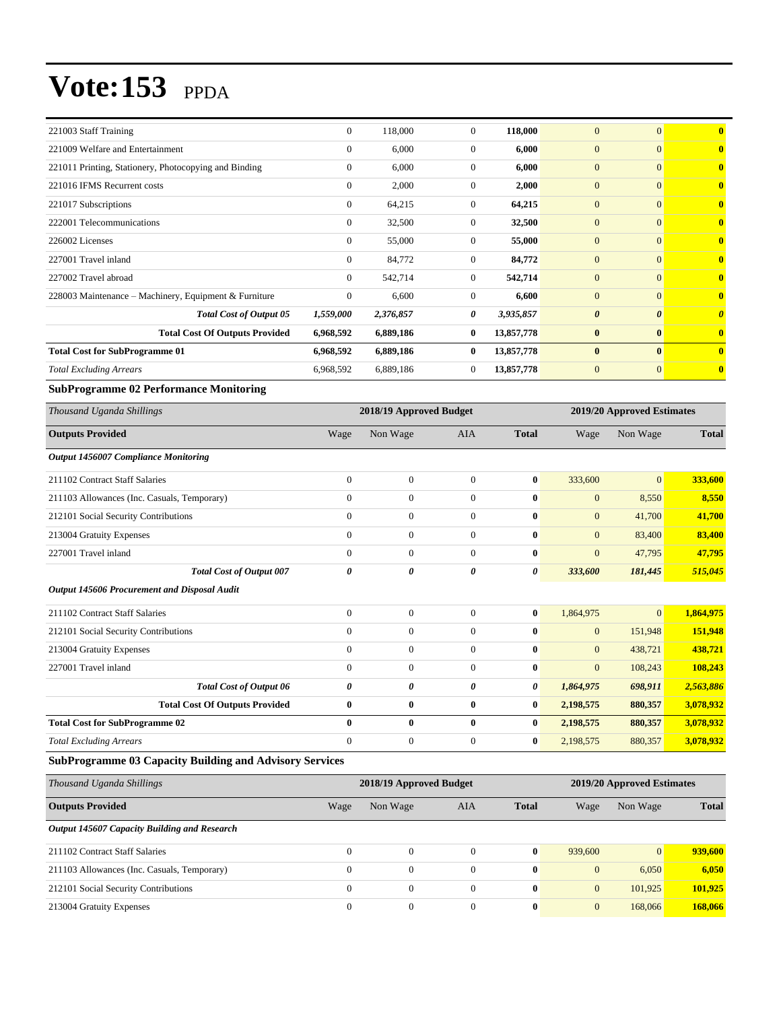| 221003 Staff Training                                 | $\Omega$     | 118,000   | $\theta$       | 118,000    | $\mathbf{0}$          | $\Omega$              | 0                     |
|-------------------------------------------------------|--------------|-----------|----------------|------------|-----------------------|-----------------------|-----------------------|
| 221009 Welfare and Entertainment                      | $\Omega$     | 6,000     | $\theta$       | 6,000      | $\overline{0}$        | $\mathbf{0}$          | $\mathbf{0}$          |
| 221011 Printing, Stationery, Photocopying and Binding | $\Omega$     | 6,000     | $\theta$       | 6,000      | $\overline{0}$        | $\mathbf{0}$          | $\mathbf{0}$          |
| 221016 IFMS Recurrent costs                           | $\Omega$     | 2,000     | $\theta$       | 2,000      | $\overline{0}$        | $\mathbf{0}$          | $\mathbf{0}$          |
| 221017 Subscriptions                                  | $\Omega$     | 64,215    | $\theta$       | 64,215     | $\overline{0}$        | $\mathbf{0}$          | $\mathbf{0}$          |
| 222001 Telecommunications                             | $\Omega$     | 32,500    | $\theta$       | 32,500     | $\overline{0}$        | $\mathbf{0}$          | $\mathbf{0}$          |
| 226002 Licenses                                       | $\Omega$     | 55,000    | $\theta$       | 55,000     | $\overline{0}$        | $\mathbf{0}$          | $\mathbf{0}$          |
| 227001 Travel inland                                  | $\Omega$     | 84,772    | $\theta$       | 84,772     | $\overline{0}$        | $\Omega$              | $\mathbf{0}$          |
| 227002 Travel abroad                                  | $\mathbf{0}$ | 542,714   | $\overline{0}$ | 542,714    | $\overline{0}$        | $\mathbf{0}$          | $\mathbf{0}$          |
| 228003 Maintenance – Machinery, Equipment & Furniture | $\Omega$     | 6,600     | $\theta$       | 6,600      | $\overline{0}$        | $\Omega$              | $\mathbf{0}$          |
| <b>Total Cost of Output 05</b>                        | 1,559,000    | 2,376,857 | 0              | 3,935,857  | $\boldsymbol{\theta}$ | $\boldsymbol{\theta}$ | $\boldsymbol{\theta}$ |
| <b>Total Cost Of Outputs Provided</b>                 | 6,968,592    | 6,889,186 | $\bf{0}$       | 13,857,778 | $\bf{0}$              | $\bf{0}$              | $\mathbf{0}$          |
| <b>Total Cost for SubProgramme 01</b>                 | 6,968,592    | 6,889,186 | $\bf{0}$       | 13,857,778 | $\bf{0}$              | $\bf{0}$              | $\mathbf{0}$          |
| <b>Total Excluding Arrears</b>                        | 6,968,592    | 6,889,186 | $\theta$       | 13,857,778 | $\mathbf{0}$          | $\mathbf{0}$          | $\mathbf{0}$          |
|                                                       |              |           |                |            |                       |                       |                       |

#### **SubProgramme 02 Performance Monitoring**

| Thousand Uganda Shillings                    |                       | 2018/19 Approved Budget |                |              |                | 2019/20 Approved Estimates |              |  |  |
|----------------------------------------------|-----------------------|-------------------------|----------------|--------------|----------------|----------------------------|--------------|--|--|
| <b>Outputs Provided</b>                      | Wage                  | Non Wage                | <b>AIA</b>     | <b>Total</b> | Wage           | Non Wage                   | <b>Total</b> |  |  |
| Output 1456007 Compliance Monitoring         |                       |                         |                |              |                |                            |              |  |  |
| 211102 Contract Staff Salaries               | $\mathbf{0}$          | $\mathbf{0}$            | $\overline{0}$ | $\bf{0}$     | 333,600        | $\vert 0 \vert$            | 333,600      |  |  |
| 211103 Allowances (Inc. Casuals, Temporary)  | $\overline{0}$        | $\mathbf{0}$            | $\overline{0}$ | $\bf{0}$     | $\mathbf{0}$   | 8,550                      | 8,550        |  |  |
| 212101 Social Security Contributions         | $\overline{0}$        | $\overline{0}$          | $\mathbf{0}$   | $\bf{0}$     | $\mathbf{0}$   | 41,700                     | 41,700       |  |  |
| 213004 Gratuity Expenses                     | $\mathbf{0}$          | $\overline{0}$          | $\mathbf{0}$   | $\mathbf{0}$ | $\overline{0}$ | 83,400                     | 83,400       |  |  |
| 227001 Travel inland                         | $\theta$              | $\overline{0}$          | $\mathbf{0}$   | $\bf{0}$     | $\overline{0}$ | 47,795                     | 47,795       |  |  |
| <b>Total Cost of Output 007</b>              | 0                     | 0                       | 0              | 0            | 333,600        | 181,445                    | 515,045      |  |  |
| Output 145606 Procurement and Disposal Audit |                       |                         |                |              |                |                            |              |  |  |
| 211102 Contract Staff Salaries               | $\theta$              | $\overline{0}$          | $\overline{0}$ | $\bf{0}$     | 1,864,975      | $\vert 0 \vert$            | 1,864,975    |  |  |
| 212101 Social Security Contributions         | $\theta$              | $\overline{0}$          | $\theta$       | $\bf{0}$     | $\overline{0}$ | 151,948                    | 151,948      |  |  |
| 213004 Gratuity Expenses                     | $\mathbf{0}$          | $\mathbf{0}$            | $\overline{0}$ | $\mathbf{0}$ | $\mathbf{0}$   | 438,721                    | 438,721      |  |  |
| 227001 Travel inland                         | $\mathbf{0}$          | $\overline{0}$          | $\overline{0}$ | $\bf{0}$     | $\mathbf{0}$   | 108,243                    | 108,243      |  |  |
| <b>Total Cost of Output 06</b>               | $\boldsymbol{\theta}$ | 0                       | 0              | 0            | 1,864,975      | 698,911                    | 2,563,886    |  |  |
| <b>Total Cost Of Outputs Provided</b>        | $\bf{0}$              | $\bf{0}$                | $\bf{0}$       | $\bf{0}$     | 2,198,575      | 880,357                    | 3,078,932    |  |  |
| <b>Total Cost for SubProgramme 02</b>        | $\bf{0}$              | $\bf{0}$                | $\bf{0}$       | $\bf{0}$     | 2,198,575      | 880,357                    | 3,078,932    |  |  |
| <b>Total Excluding Arrears</b>               | $\mathbf{0}$          | $\overline{0}$          | $\theta$       | $\bf{0}$     | 2,198,575      | 880,357                    | 3,078,932    |  |  |

#### **SubProgramme 03 Capacity Building and Advisory Services**

| Thousand Uganda Shillings                    | 2018/19 Approved Budget |                  |            |              |              | 2019/20 Approved Estimates |              |  |  |
|----------------------------------------------|-------------------------|------------------|------------|--------------|--------------|----------------------------|--------------|--|--|
| <b>Outputs Provided</b>                      | Wage                    | Non Wage         | <b>AIA</b> | <b>Total</b> | Wage         | Non Wage                   | <b>Total</b> |  |  |
| Output 145607 Capacity Building and Research |                         |                  |            |              |              |                            |              |  |  |
| 211102 Contract Staff Salaries               | $\Omega$                | $\Omega$         | $\Omega$   | $\bf{0}$     | 939,600      | $\overline{0}$             | 939,600      |  |  |
| 211103 Allowances (Inc. Casuals, Temporary)  | $\Omega$                | $\Omega$         | $\theta$   | $\mathbf{0}$ | $\mathbf{0}$ | 6,050                      | 6,050        |  |  |
| 212101 Social Security Contributions         | $\mathbf{0}$            | $\boldsymbol{0}$ | $\Omega$   | $\bf{0}$     | $\mathbf{0}$ | 101.925                    | 101,925      |  |  |
| 213004 Gratuity Expenses                     | $\Omega$                | $\Omega$         | $\Omega$   | $\mathbf{0}$ | $\mathbf{0}$ | 168,066                    | 168,066      |  |  |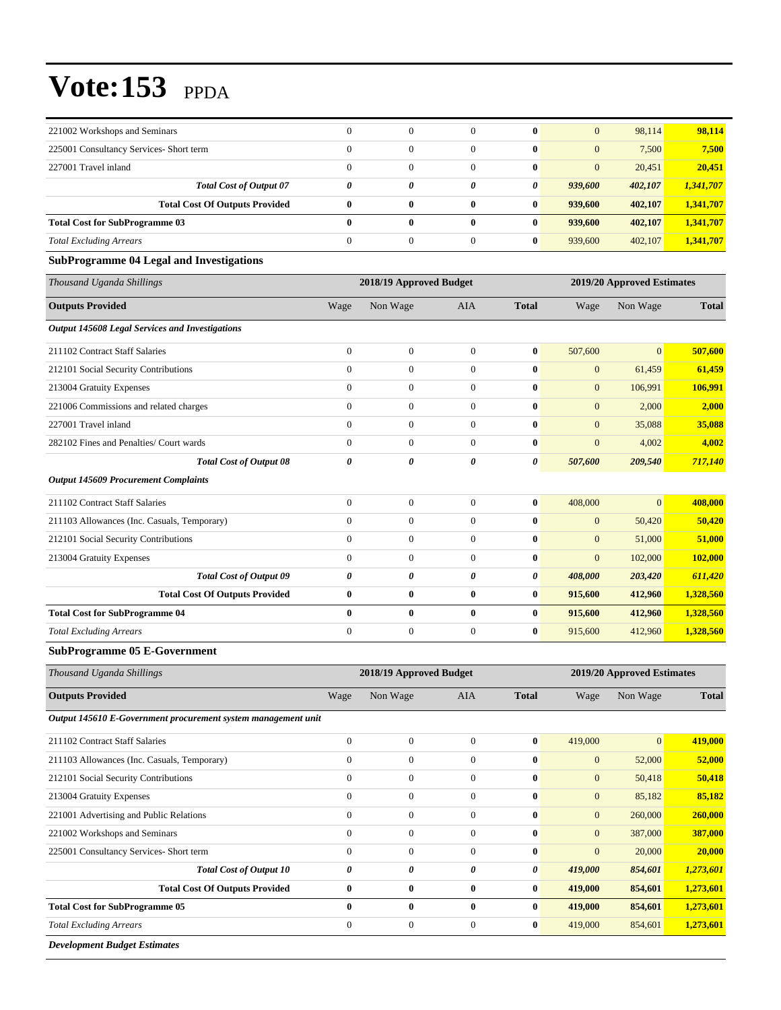| <b>Total Excluding Arrears</b>                                                           | $\boldsymbol{0}$                                      | $\boldsymbol{0}$                     | $\mathbf{0}$                         | $\boldsymbol{0}$                     | 419,000                          | 854,601                    | 1,273,601              |
|------------------------------------------------------------------------------------------|-------------------------------------------------------|--------------------------------------|--------------------------------------|--------------------------------------|----------------------------------|----------------------------|------------------------|
| <b>Total Cost for SubProgramme 05</b>                                                    | $\bf{0}$                                              | $\bf{0}$                             | $\bf{0}$                             | $\bf{0}$                             | 419,000                          | 854,601                    | 1,273,601              |
| <b>Total Cost Of Outputs Provided</b>                                                    | $\bf{0}$                                              | $\pmb{0}$                            | $\bf{0}$                             | $\boldsymbol{0}$                     | 419,000                          | 854,601                    | 1,273,601              |
| <b>Total Cost of Output 10</b>                                                           | 0                                                     | $\pmb{\theta}$                       | 0                                    | 0                                    | 419,000                          | 854,601                    | 1,273,601              |
| 225001 Consultancy Services- Short term                                                  | $\boldsymbol{0}$                                      | $\boldsymbol{0}$                     | $\boldsymbol{0}$                     | $\boldsymbol{0}$                     | $\boldsymbol{0}$                 | 20,000                     | 20,000                 |
| 221002 Workshops and Seminars                                                            | $\boldsymbol{0}$                                      | $\boldsymbol{0}$                     | $\boldsymbol{0}$                     | $\boldsymbol{0}$                     | $\boldsymbol{0}$                 | 387,000                    | 387,000                |
| 221001 Advertising and Public Relations                                                  | $\boldsymbol{0}$                                      | $\boldsymbol{0}$                     | $\mathbf{0}$                         | $\boldsymbol{0}$                     | $\boldsymbol{0}$                 | 260,000                    | 260,000                |
| 212101 Social Security Contributions<br>213004 Gratuity Expenses                         | $\boldsymbol{0}$                                      | $\boldsymbol{0}$                     | $\boldsymbol{0}$                     | $\boldsymbol{0}$                     | $\mathbf{0}$                     | 85,182                     | 85,182                 |
| 211103 Allowances (Inc. Casuals, Temporary)                                              | $\boldsymbol{0}$                                      | $\boldsymbol{0}$<br>$\boldsymbol{0}$ | $\mathbf{0}$                         | $\boldsymbol{0}$<br>$\boldsymbol{0}$ | $\boldsymbol{0}$<br>$\mathbf{0}$ | 52,000<br>50,418           | 52,000<br>50,418       |
| 211102 Contract Staff Salaries                                                           | $\boldsymbol{0}$                                      | $\boldsymbol{0}$                     | $\boldsymbol{0}$<br>$\boldsymbol{0}$ | $\bf{0}$                             |                                  | $\boldsymbol{0}$           |                        |
|                                                                                          | $\boldsymbol{0}$                                      |                                      |                                      |                                      | 419,000                          |                            | 419,000                |
| <b>Outputs Provided</b><br>Output 145610 E-Government procurement system management unit | Wage                                                  | Non Wage                             | AIA                                  | <b>Total</b>                         | Wage                             | Non Wage                   | <b>Total</b>           |
| Thousand Uganda Shillings                                                                |                                                       | 2018/19 Approved Budget              |                                      |                                      |                                  |                            |                        |
| <b>SubProgramme 05 E-Government</b>                                                      |                                                       |                                      |                                      |                                      |                                  | 2019/20 Approved Estimates |                        |
|                                                                                          |                                                       |                                      |                                      |                                      |                                  |                            |                        |
| <b>Total Cost for SubProgramme 04</b><br><b>Total Excluding Arrears</b>                  | $\boldsymbol{0}$                                      | $\mathbf{0}$                         | $\boldsymbol{0}$                     | $\bf{0}$<br>$\bf{0}$                 | 915,600<br>915,600               | 412,960<br>412,960         | 1,328,560              |
| <b>Total Cost Of Outputs Provided</b>                                                    | $\bf{0}$<br>$\bf{0}$                                  | $\bf{0}$<br>$\bf{0}$                 | $\bf{0}$<br>$\bf{0}$                 | $\bf{0}$                             | 915,600                          | 412,960                    | 1,328,560<br>1,328,560 |
| <b>Total Cost of Output 09</b>                                                           | 0                                                     | 0                                    | 0                                    | 0                                    | 408,000                          | 203,420                    | 611,420                |
| 213004 Gratuity Expenses                                                                 | $\boldsymbol{0}$                                      | $\mathbf{0}$                         | $\boldsymbol{0}$                     | $\bf{0}$                             | $\mathbf{0}$                     | 102,000                    | 102,000                |
| 212101 Social Security Contributions                                                     | $\boldsymbol{0}$                                      | $\mathbf{0}$                         | $\boldsymbol{0}$                     | $\bf{0}$                             | $\mathbf{0}$                     | 51,000                     | 51,000                 |
| 211103 Allowances (Inc. Casuals, Temporary)                                              | $\overline{0}$                                        | $\mathbf{0}$                         | $\mathbf{0}$                         | $\bf{0}$                             | $\mathbf{0}$                     | 50,420                     | 50,420                 |
| 211102 Contract Staff Salaries                                                           | $\boldsymbol{0}$                                      | $\mathbf{0}$                         | $\boldsymbol{0}$                     | $\bf{0}$                             | 408,000                          | $\overline{0}$             | 408,000                |
| <b>Output 145609 Procurement Complaints</b>                                              |                                                       |                                      |                                      |                                      |                                  |                            |                        |
| <b>Total Cost of Output 08</b>                                                           | 0                                                     | 0                                    | 0                                    | 0                                    | 507,600                          | 209,540                    | 717,140                |
| 282102 Fines and Penalties/ Court wards                                                  | $\boldsymbol{0}$                                      | $\mathbf{0}$                         | $\theta$                             | $\bf{0}$                             | $\mathbf{0}$                     | 4,002                      | 4,002                  |
| 227001 Travel inland                                                                     | $\boldsymbol{0}$                                      | $\mathbf{0}$                         | $\boldsymbol{0}$                     | $\bf{0}$                             | $\mathbf{0}$                     | 35,088                     | 35,088                 |
| 221006 Commissions and related charges                                                   | $\overline{0}$                                        | $\mathbf{0}$                         | $\mathbf{0}$                         | $\bf{0}$                             | $\mathbf{0}$                     | 2,000                      | 2,000                  |
| 213004 Gratuity Expenses                                                                 | $\boldsymbol{0}$                                      | $\mathbf{0}$                         | $\mathbf{0}$                         | $\bf{0}$                             | $\mathbf{0}$                     | 106,991                    | 106,991                |
| 212101 Social Security Contributions                                                     | $\boldsymbol{0}$                                      | $\mathbf{0}$                         | $\boldsymbol{0}$                     | $\bf{0}$                             | $\mathbf{0}$                     | 61,459                     | 61,459                 |
| 211102 Contract Staff Salaries                                                           | $\boldsymbol{0}$                                      | $\mathbf{0}$                         | $\mathbf{0}$                         | $\bf{0}$                             | 507,600                          | $\mathbf{0}$               | 507,600                |
| <b>Output 145608 Legal Services and Investigations</b>                                   |                                                       |                                      |                                      |                                      |                                  |                            |                        |
| <b>Outputs Provided</b>                                                                  | Wage                                                  | Non Wage                             | AIA                                  | Total                                | Wage                             | Non Wage                   | <b>Total</b>           |
| Thousand Uganda Shillings                                                                | 2018/19 Approved Budget<br>2019/20 Approved Estimates |                                      |                                      |                                      |                                  |                            |                        |
| <b>SubProgramme 04 Legal and Investigations</b>                                          |                                                       |                                      |                                      |                                      |                                  |                            |                        |
| <b>Total Excluding Arrears</b>                                                           | $\boldsymbol{0}$                                      | $\mathbf{0}$                         | $\boldsymbol{0}$                     | $\bf{0}$                             | 939,600                          | 402,107                    | 1,341,707              |
| <b>Total Cost for SubProgramme 03</b>                                                    | $\bf{0}$                                              | $\bf{0}$                             | $\bf{0}$                             | $\bf{0}$                             | 939,600                          | 402,107                    | 1,341,707              |
| <b>Total Cost Of Outputs Provided</b>                                                    | $\bf{0}$                                              | $\bf{0}$                             | $\bf{0}$                             | $\bf{0}$                             | 939,600                          | 402,107                    | 1,341,707              |
| <b>Total Cost of Output 07</b>                                                           | 0                                                     | 0                                    | 0                                    | 0                                    | 939,600                          | 402,107                    | 1,341,707              |
| 227001 Travel inland                                                                     | $\boldsymbol{0}$                                      | $\overline{0}$                       | $\mathbf{0}$                         | $\bf{0}$                             | $\mathbf{0}$                     | 20,451                     | 20,451                 |
| 225001 Consultancy Services- Short term                                                  | $\overline{0}$                                        | $\boldsymbol{0}$                     | $\theta$                             | $\bf{0}$                             | $\mathbf{0}$                     | 7,500                      | 7,500                  |
| 221002 Workshops and Seminars                                                            | $\boldsymbol{0}$                                      | $\mathbf{0}$                         | $\mathbf{0}$                         | $\bf{0}$                             | $\mathbf{0}$                     | 98,114                     | 98,114                 |

*Development Budget Estimates*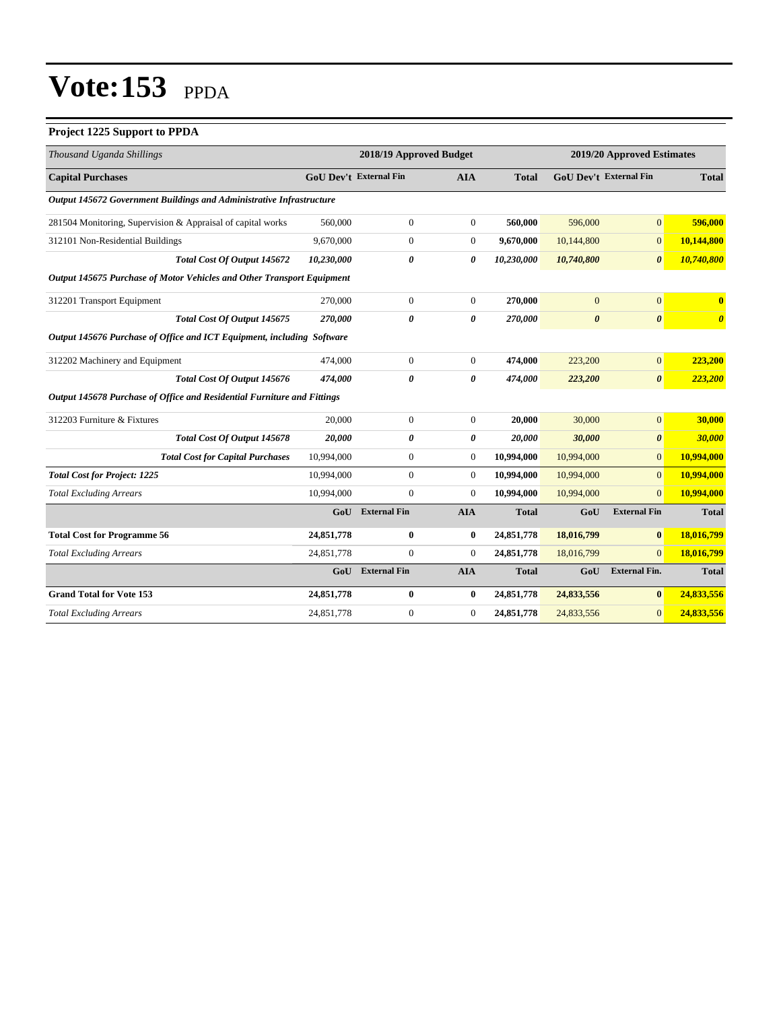#### **Project 1225 Support to PPDA**

| Thousand Uganda Shillings                                               | 2018/19 Approved Budget       |                     |                | 2019/20 Approved Estimates |                       |                               |                       |  |  |
|-------------------------------------------------------------------------|-------------------------------|---------------------|----------------|----------------------------|-----------------------|-------------------------------|-----------------------|--|--|
| <b>Capital Purchases</b>                                                | <b>GoU</b> Dev't External Fin |                     | <b>AIA</b>     | <b>Total</b>               |                       | <b>GoU Dev't External Fin</b> | <b>Total</b>          |  |  |
| Output 145672 Government Buildings and Administrative Infrastructure    |                               |                     |                |                            |                       |                               |                       |  |  |
| 281504 Monitoring, Supervision & Appraisal of capital works             | 560,000                       | $\boldsymbol{0}$    | $\overline{0}$ | 560,000                    | 596,000               | $\mathbf{0}$                  | 596,000               |  |  |
| 312101 Non-Residential Buildings                                        | 9,670,000                     | $\overline{0}$      | $\overline{0}$ | 9,670,000                  | 10,144,800            | $\overline{0}$                | 10,144,800            |  |  |
| <b>Total Cost Of Output 145672</b>                                      | 10,230,000                    | 0                   | 0              | 10,230,000                 | 10,740,800            | $\boldsymbol{\theta}$         | 10,740,800            |  |  |
| Output 145675 Purchase of Motor Vehicles and Other Transport Equipment  |                               |                     |                |                            |                       |                               |                       |  |  |
| 312201 Transport Equipment                                              | 270,000                       | $\overline{0}$      | $\overline{0}$ | 270,000                    | $\overline{0}$        | $\overline{0}$                | $\mathbf{0}$          |  |  |
| Total Cost Of Output 145675                                             | 270,000                       | 0                   | 0              | 270,000                    | $\boldsymbol{\theta}$ | $\boldsymbol{\theta}$         | $\boldsymbol{\theta}$ |  |  |
| Output 145676 Purchase of Office and ICT Equipment, including Software  |                               |                     |                |                            |                       |                               |                       |  |  |
| 312202 Machinery and Equipment                                          | 474,000                       | $\mathbf{0}$        | $\overline{0}$ | 474,000                    | 223,200               | $\mathbf{0}$                  | 223,200               |  |  |
| Total Cost Of Output 145676                                             | 474.000                       | 0                   | 0              | 474,000                    | 223,200               | $\boldsymbol{\theta}$         | 223,200               |  |  |
| Output 145678 Purchase of Office and Residential Furniture and Fittings |                               |                     |                |                            |                       |                               |                       |  |  |
| 312203 Furniture & Fixtures                                             | 20,000                        | $\overline{0}$      | $\overline{0}$ | 20.000                     | 30,000                | $\mathbf{0}$                  | 30,000                |  |  |
| <b>Total Cost Of Output 145678</b>                                      | 20,000                        | 0                   | 0              | 20,000                     | 30,000                | $\boldsymbol{\theta}$         | 30,000                |  |  |
| <b>Total Cost for Capital Purchases</b>                                 | 10,994,000                    | $\mathbf{0}$        | $\overline{0}$ | 10,994,000                 | 10,994,000            | $\overline{0}$                | 10,994,000            |  |  |
| <b>Total Cost for Project: 1225</b>                                     | 10,994,000                    | $\overline{0}$      | $\overline{0}$ | 10,994,000                 | 10,994,000            | $\overline{0}$                | 10,994,000            |  |  |
| <b>Total Excluding Arrears</b>                                          | 10,994,000                    | $\overline{0}$      | $\overline{0}$ | 10,994,000                 | 10,994,000            | $\Omega$                      | 10,994,000            |  |  |
|                                                                         | GoU                           | <b>External Fin</b> | <b>AIA</b>     | <b>Total</b>               | GoU                   | <b>External Fin</b>           | <b>Total</b>          |  |  |
| <b>Total Cost for Programme 56</b>                                      | 24,851,778                    | 0                   | $\bf{0}$       | 24,851,778                 | 18,016,799            | $\bf{0}$                      | 18,016,799            |  |  |
| <b>Total Excluding Arrears</b>                                          | 24,851,778                    | $\mathbf{0}$        | $\overline{0}$ | 24,851,778                 | 18,016,799            | $\mathbf{0}$                  | 18,016,799            |  |  |
|                                                                         | GoU                           | <b>External Fin</b> | <b>AIA</b>     | <b>Total</b>               | GoU                   | <b>External Fin.</b>          | <b>Total</b>          |  |  |
| <b>Grand Total for Vote 153</b>                                         | 24,851,778                    | $\bf{0}$            | $\bf{0}$       | 24,851,778                 | 24,833,556            | $\bf{0}$                      | 24,833,556            |  |  |
| <b>Total Excluding Arrears</b>                                          | 24,851,778                    | $\overline{0}$      | $\mathbf{0}$   | 24,851,778                 | 24,833,556            | $\mathbf{0}$                  | 24,833,556            |  |  |